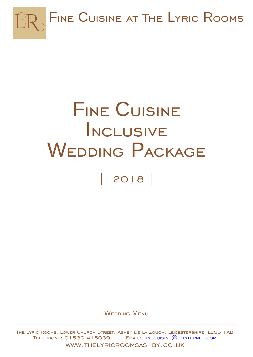

# Fine Cuisine Inclusive WEDDING PACKAGE | 2018 |

WEDDING MENU

The Lyric Rooms, Lower Church Street, Ashby De La Zouch, Leicestershire, LE65 1AB  $TELEPHONE: O153O 415039$  EMAIL: FINECUISINE  $@B$  TINTERNET.COM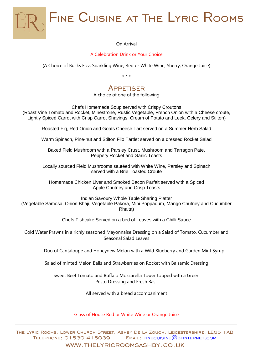

#### On Arrival

#### A Celebration Drink or Your Choice

(A Choice of Bucks Fizz, Sparkling Wine, Red or White Wine, Sherry, Orange Juice)

\* \* \*

### APPETISER

A choice of one of the following

Chefs Homemade Soup served with Crispy Croutons (Roast Vine Tomato and Rocket, Minestrone, Rustic Vegetable, French Onion with a Cheese croute, Lightly Spiced Carrot with Crisp Carrot Shavings, Cream of Potato and Leek, Celery and Stilton)

Roasted Fig, Red Onion and Goats Cheese Tart served on a Summer Herb Salad

Warm Spinach, Pine-nut and Stilton Filo Tartlet served on a dressed Rocket Salad

Baked Field Mushroom with a Parsley Crust, Mushroom and Tarragon Pate, Peppery Rocket and Garlic Toasts

Locally sourced Field Mushrooms sautéed with White Wine, Parsley and Spinach served with a Brie Toasted Croute

Homemade Chicken Liver and Smoked Bacon Parfait served with a Spiced Apple Chutney and Crisp Toasts

Indian Savoury Whole Table Sharing Platter (Vegetable Samosa, Onion Bhaji, Vegetable Pakora, Mini Poppadum, Mango Chutney and Cucumber Rhaita)

Chefs Fishcake Served on a bed of Leaves with a Chilli Sauce

Cold Water Prawns in a richly seasoned Mayonnaise Dressing on a Salad of Tomato, Cucumber and Seasonal Salad Leaves

Duo of Cantaloupe and Honeydew Melon with a Wild Blueberry and Garden Mint Syrup

Salad of minted Melon Balls and Strawberries on Rocket with Balsamic Dressing

Sweet Beef Tomato and Buffalo Mozzarella Tower topped with a Green Pesto Dressing and Fresh Basil

All served with a bread accompaniment

Glass of House Red or White Wine or Orange Juice

The Lyric Rooms, Lower Church Street, Ashby De La Zouch, Leicestershire, LE65 1AB  $TELEPHONE: O153O 415039$  EMAIL: FINECUISINE  $@B$ TINTERNET.COM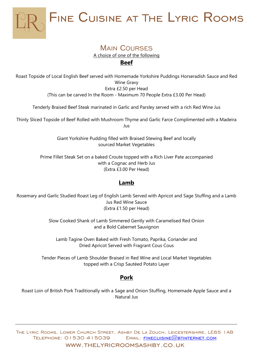

#### **MAIN COURSES** A choice of one of the following **Beef**

Roast Topside of Local English Beef served with Homemade Yorkshire Puddings Horseradish Sauce and Red Wine Gravy Extra £2.50 per Head (This can be carved In the Room - Maximum 70 People Extra £3.00 Per Head)

Tenderly Braised Beef Steak marinated in Garlic and Parsley served with a rich Red Wine Jus

Thinly Sliced Topside of Beef Rolled with Mushroom Thyme and Garlic Farce Complimented with a Madeira Jus

> Giant Yorkshire Pudding filled with Braised Stewing Beef and locally sourced Market Vegetables

Prime Fillet Steak Set on a baked Croute topped with a Rich Liver Pate accompanied with a Cognac and Herb Jus (Extra £3.00 Per Head)

#### **Lamb**

Rosemary and Garlic Studied Roast Leg of English Lamb Served with Apricot and Sage Stuffing and a Lamb Jus Red Wine Sauce (Extra £1.50 per Head)

> Slow Cooked Shank of Lamb Simmered Gently with Caramelised Red Onion and a Bold Cabernet Sauvignon

Lamb Tagine Oven Baked with Fresh Tomato, Paprika, Coriander and Dried Apricot Served with Fragrant Cous Cous

Tender Pieces of Lamb Shoulder Braised in Red Wine and Local Market Vegetables topped with a Crisp Sautéed Potato Layer

#### **Pork**

Roast Loin of British Pork Traditionally with a Sage and Onion Stuffing, Homemade Apple Sauce and a Natural Jus

The Lyric Rooms, Lower Church Street, Ashby De La Zouch, Leicestershire, LE65 1AB TELEPHONE: 01530 415039 EMAIL: FINECUISINE@BTINTERNET.COM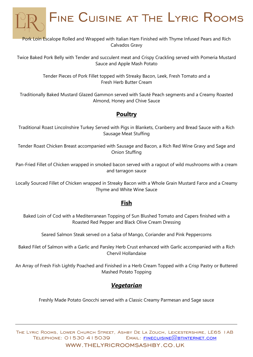

Twice Baked Pork Belly with Tender and succulent meat and Crispy Crackling served with Pomeria Mustard Sauce and Apple Mash Potato

> Tender Pieces of Pork Fillet topped with Streaky Bacon, Leek, Fresh Tomato and a Fresh Herb Butter Cream

Traditionally Baked Mustard Glazed Gammon served with Sauté Peach segments and a Creamy Roasted Almond, Honey and Chive Sauce

#### **Poultry**

Traditional Roast Lincolnshire Turkey Served with Pigs in Blankets, Cranberry and Bread Sauce with a Rich Sausage Meat Stuffing

Tender Roast Chicken Breast accompanied with Sausage and Bacon, a Rich Red Wine Gravy and Sage and Onion Stuffing

Pan-Fried Fillet of Chicken wrapped in smoked bacon served with a ragout of wild mushrooms with a cream and tarragon sauce

Locally Sourced Fillet of Chicken wrapped in Streaky Bacon with a Whole Grain Mustard Farce and a Creamy Thyme and White Wine Sauce

#### **Fish**

Baked Loin of Cod with a Mediterranean Topping of Sun Blushed Tomato and Capers finished with a Roasted Red Pepper and Black Olive Cream Dressing

Seared Salmon Steak served on a Salsa of Mango, Coriander and Pink Peppercorns

Baked Filet of Salmon with a Garlic and Parsley Herb Crust enhanced with Garlic accompanied with a Rich Chervil Hollandaise

An Array of Fresh Fish Lightly Poached and Finished in a Herb Cream Topped with a Crisp Pastry or Buttered Mashed Potato Topping

#### *Vegetarian*

Freshly Made Potato Gnocchi served with a Classic Creamy Parmesan and Sage sauce

The Lyric Rooms, Lower Church Street, Ashby De La Zouch, Leicestershire, LE65 1AB TELEPHONE: 01530 415039 EMAIL: FINECUISINE@BTINTERNET.COM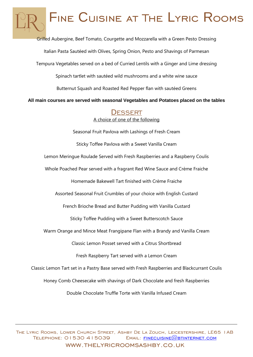Grilled Aubergine, Beef Tomato, Courgette and Mozzarella with a Green Pesto Dressing

Italian Pasta Sautéed with Olives, Spring Onion, Pesto and Shavings of Parmesan

Tempura Vegetables served on a bed of Curried Lentils with a Ginger and Lime dressing

Spinach tartlet with sautéed wild mushrooms and a white wine sauce

Butternut Squash and Roasted Red Pepper flan with sautéed Greens

**All main courses are served with seasonal Vegetables and Potatoes placed on the tables** 

#### **DESSERT** A choice of one of the following

Seasonal Fruit Pavlova with Lashings of Fresh Cream

Sticky Toffee Pavlova with a Sweet Vanilla Cream

Lemon Meringue Roulade Served with Fresh Raspberries and a Raspberry Coulis

Whole Poached Pear served with a fragrant Red Wine Sauce and Crème Fraiche

Homemade Bakewell Tart finished with Crème Fraiche

Assorted Seasonal Fruit Crumbles of your choice with English Custard

French Brioche Bread and Butter Pudding with Vanilla Custard

Sticky Toffee Pudding with a Sweet Butterscotch Sauce

Warm Orange and Mince Meat Frangipane Flan with a Brandy and Vanilla Cream

Classic Lemon Posset served with a Citrus Shortbread

Fresh Raspberry Tart served with a Lemon Cream

Classic Lemon Tart set in a Pastry Base served with Fresh Raspberries and Blackcurrant Coulis

Honey Comb Cheesecake with shavings of Dark Chocolate and fresh Raspberries

Double Chocolate Truffle Torte with Vanilla Infused Cream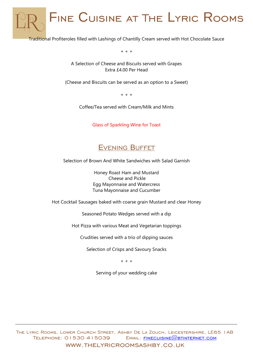Traditional Profiteroles filled with Lashings of Chantilly Cream served with Hot Chocolate Sauce

+ + +

A Selection of Cheese and Biscuits served with Grapes Extra £4.00 Per Head

(Cheese and Biscuits can be served as an option to a Sweet)

+ + +

Coffee/Tea served with Cream/Milk and Mints

Glass of Sparkling Wine for Toast



Selection of Brown And White Sandwiches with Salad Garnish

Honey Roast Ham and Mustard Cheese and Pickle Egg Mayonnaise and Watercress Tuna Mayonnaise and Cucumber

Hot Cocktail Sausages baked with coarse grain Mustard and clear Honey

Seasoned Potato Wedges served with a dip

Hot Pizza with various Meat and Vegetarian toppings

Crudities served with a trio of dipping sauces

Selection of Crisps and Savoury Snacks

+ + +

Serving of your wedding cake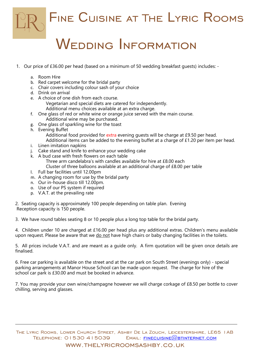

### WEDDING INFORMATION

- 1. Our price of £36.00 per head (based on a minimum of 50 wedding breakfast guests) includes:
	- a. Room Hire
	- b. Red carpet welcome for the bridal party
	- c. Chair covers including colour sash of your choice
	- d. Drink on arrival
	- e. A choice of one dish from each course.
		- Vegetarian and special diets are catered for independently. Additional menu choices available at an extra charge.
	- f. One glass of red or white wine or orange juice served with the main course. Additional wine may be purchased.
	- g. One glass of sparkling wine for the toast
	- h. Evening Buffet

Additional food provided for extra evening guests will be charge at £9.50 per head.

- Additional items can be added to the evening buffet at a charge of £1.20 per item per head.
- i. Linen imitation napkins
- j. Cake stand and knife to enhance your wedding cake
- k. A bud case with fresh flowers on each table
	- Three arm candelabra's with candles available for hire at £8.00 each
	- Cluster of three balloons available at an additional charge of £8.00 per table
- l. Full bar facilities until 12.00pm
- m. A changing room for use by the bridal party
- n. Our in-house disco till 12.00pm.
- o. Use of our PS system if required
- p. V.A.T. at the prevailing rate

2. Seating capacity is approximately 100 people depending on table plan. Evening Reception capacity is 150 people.

3. We have round tables seating 8 or 10 people plus a long top table for the bridal party.

4. Children under 10 are charged at £16.00 per head plus any additional extras. Children's menu available upon request. Please be aware that we do not have high chairs or baby changing facilities in the toilets.

5. All prices include V.A.T. and are meant as a guide only. A firm quotation will be given once details are finalised.

6. Free car parking is available on the street and at the car park on South Street (evenings only) - special parking arrangements at Manor House School can be made upon request. The charge for hire of the school car park is £30.00 and must be booked in advance.

7. You may provide your own wine/champagne however we will charge corkage of £8.50 per bottle to cover chilling, serving and glasses.

The Lyric Rooms, Lower Church Street, Ashby De La Zouch, Leicestershire, LE65 1AB  $TELEPHONE: O153O 415039$  EMAIL: FINECUISINE  $\omega$  btinternet.com